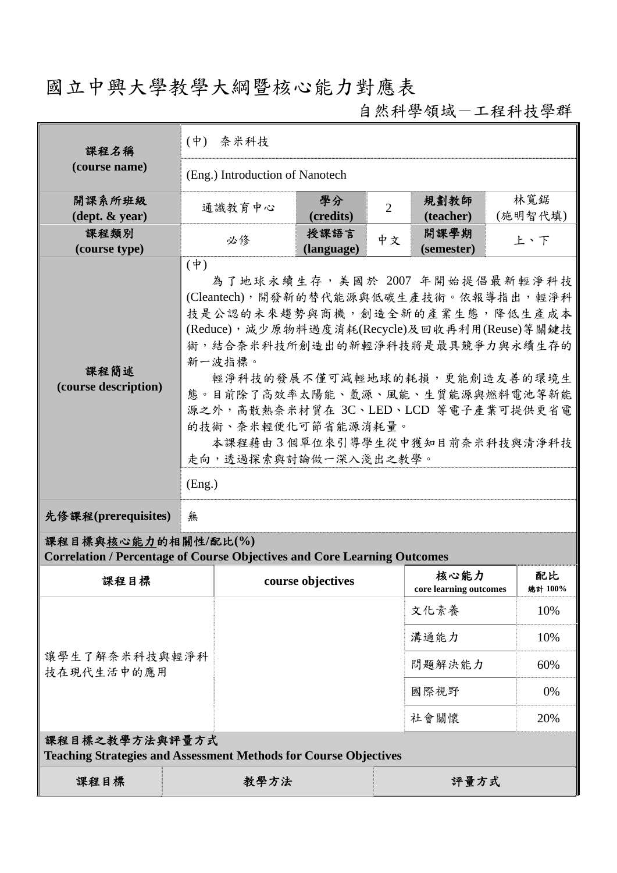# 國立中興大學教學大綱暨核心能力對應表

自然科學領域-工程科技學群

| 課程名稱                                                                                                   | $(\phi)$    | 奈米科技                                                                                                                                                                                                                                                                                                                                                                                                       |                    |                |                                |  |                |  |
|--------------------------------------------------------------------------------------------------------|-------------|------------------------------------------------------------------------------------------------------------------------------------------------------------------------------------------------------------------------------------------------------------------------------------------------------------------------------------------------------------------------------------------------------------|--------------------|----------------|--------------------------------|--|----------------|--|
| (course name)                                                                                          |             | (Eng.) Introduction of Nanotech                                                                                                                                                                                                                                                                                                                                                                            |                    |                |                                |  |                |  |
| 開課系所班級<br>$(\text{dept.} \& \text{ year})$                                                             |             | 通識教育中心                                                                                                                                                                                                                                                                                                                                                                                                     | 學分<br>(credits)    | $\overline{2}$ | 規劃教師<br>(teacher)              |  | 林寬鋸<br>(施明智代填) |  |
| 課程類別<br>(course type)                                                                                  |             | 必修                                                                                                                                                                                                                                                                                                                                                                                                         | 授課語言<br>(language) | 中文             | 開課學期<br>(semester)             |  | 上、下            |  |
| 課程簡述<br>(course description)                                                                           | $(\dagger)$ | 為了地球永續生存,美國於 2007 年開始提倡最新輕淨科技<br>(Cleantech), 開發新的替代能源與低碳生產技術。依報導指出, 輕淨科<br>技是公認的未來趨勢與商機,創造全新的產業生態,降低生產成本<br>(Reduce), 減少原物料過度消耗(Recycle)及回收再利用(Reuse)等關鍵技<br>術,結合奈米科技所創造出的新輕淨科技將是最具競爭力與永續生存的<br>新一波指標。<br>輕淨科技的發展不僅可減輕地球的耗損,更能創造友善的環境生<br>態。目前除了高效率太陽能、氫源、風能、生質能源與燃料電池等新能<br>源之外,高散熱奈米材質在 3C、LED、LCD 等電子產業可提供更省電<br>的技術、奈米輕便化可節省能源消耗量。<br>本課程藉由3個單位來引導學生從中獲知目前奈米科技與清淨科技<br>走向,透過探索與討論做一深入淺出之教學。<br>(Eng.) |                    |                |                                |  |                |  |
| 先修課程(prerequisites)                                                                                    | 無           |                                                                                                                                                                                                                                                                                                                                                                                                            |                    |                |                                |  |                |  |
| 課程目標與核心能力的相關性/配比(%)<br><b>Correlation / Percentage of Course Objectives and Core Learning Outcomes</b> |             |                                                                                                                                                                                                                                                                                                                                                                                                            |                    |                |                                |  |                |  |
| 課程目標                                                                                                   |             |                                                                                                                                                                                                                                                                                                                                                                                                            | course objectives  |                | 核心能力<br>core learning outcomes |  | 配比<br>總計 100%  |  |
|                                                                                                        |             |                                                                                                                                                                                                                                                                                                                                                                                                            |                    |                | 文化素養                           |  | 10%            |  |
|                                                                                                        |             |                                                                                                                                                                                                                                                                                                                                                                                                            |                    |                | 溝通能力                           |  | 10%            |  |
| 讓學生了解奈米科技與輕淨科<br>技在現代生活中的應用                                                                            |             |                                                                                                                                                                                                                                                                                                                                                                                                            |                    |                | 問題解決能力                         |  | 60%            |  |
|                                                                                                        |             |                                                                                                                                                                                                                                                                                                                                                                                                            |                    |                | 國際視野                           |  | 0%             |  |
|                                                                                                        |             |                                                                                                                                                                                                                                                                                                                                                                                                            |                    |                | 社會關懷                           |  | 20%            |  |
| 課程目標之教學方法與評量方式<br><b>Teaching Strategies and Assessment Methods for Course Objectives</b>              |             |                                                                                                                                                                                                                                                                                                                                                                                                            |                    |                |                                |  |                |  |
| 課程目標                                                                                                   |             | 教學方法                                                                                                                                                                                                                                                                                                                                                                                                       |                    |                | 評量方式                           |  |                |  |